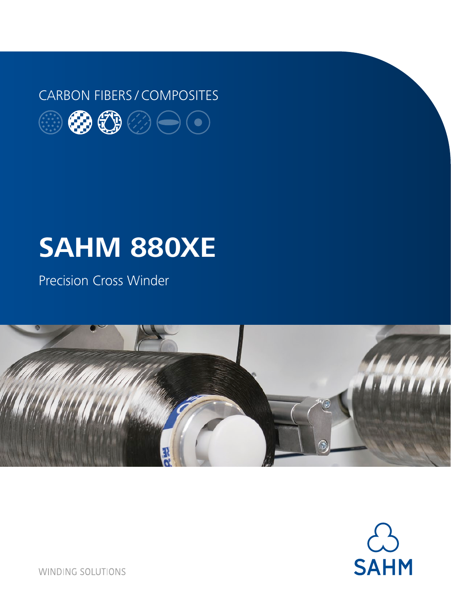## CARBON FIBERS / COMPOSITES



# **SAHM 880XE**

Precision Cross Winder





**WINDING SOLUTIONS**